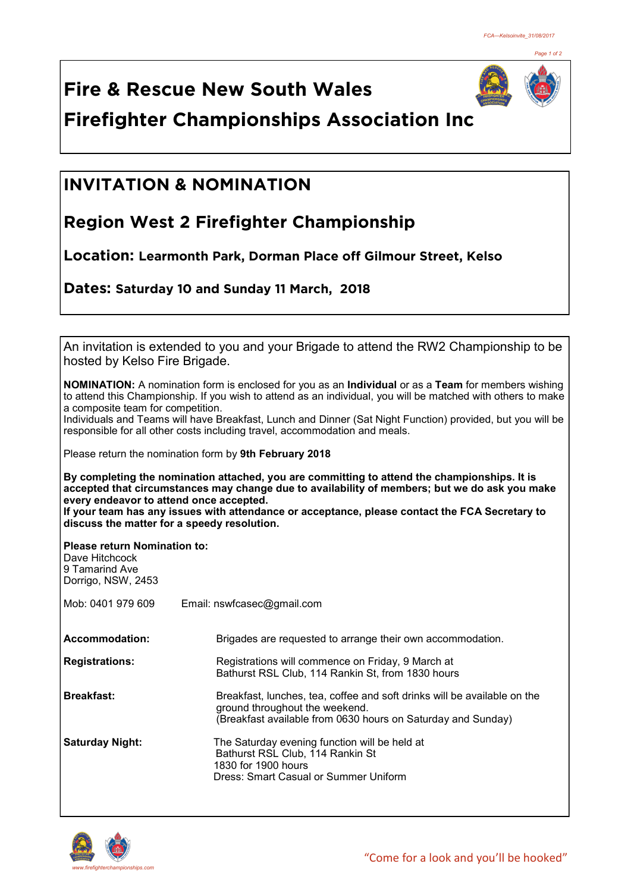

**Fire & Rescue New South Wales Firefighter Championships Association Inc**

## **INVITATION & NOMINATION**

## **Region West 2 Firefighter Championship**

**Location: Learmonth Park, Dorman Place off Gilmour Street, Kelso**

**Dates: Saturday 10 and Sunday 11 March, 2018** 

| hosted by Kelso Fire Brigade.                                                                 | An invitation is extended to you and your Brigade to attend the RW2 Championship to be                                                                                                                                            |  |
|-----------------------------------------------------------------------------------------------|-----------------------------------------------------------------------------------------------------------------------------------------------------------------------------------------------------------------------------------|--|
| a composite team for competition.                                                             | <b>NOMINATION:</b> A nomination form is enclosed for you as an <b>Individual</b> or as a Team for members wishing<br>to attend this Championship. If you wish to attend as an individual, you will be matched with others to make |  |
|                                                                                               | Individuals and Teams will have Breakfast, Lunch and Dinner (Sat Night Function) provided, but you will be<br>responsible for all other costs including travel, accommodation and meals.                                          |  |
|                                                                                               | Please return the nomination form by 9th February 2018                                                                                                                                                                            |  |
| every endeavor to attend once accepted.                                                       | By completing the nomination attached, you are committing to attend the championships. It is<br>accepted that circumstances may change due to availability of members; but we do ask you make                                     |  |
| discuss the matter for a speedy resolution.                                                   | If your team has any issues with attendance or acceptance, please contact the FCA Secretary to                                                                                                                                    |  |
| <b>Please return Nomination to:</b><br>Dave Hitchcock<br>9 Tamarind Ave<br>Dorrigo, NSW, 2453 |                                                                                                                                                                                                                                   |  |
| Mob: 0401 979 609                                                                             | Email: nswfcasec@gmail.com                                                                                                                                                                                                        |  |
| <b>Accommodation:</b>                                                                         | Brigades are requested to arrange their own accommodation.                                                                                                                                                                        |  |
| <b>Registrations:</b>                                                                         | Registrations will commence on Friday, 9 March at<br>Bathurst RSL Club, 114 Rankin St, from 1830 hours                                                                                                                            |  |
| <b>Breakfast:</b>                                                                             | Breakfast, lunches, tea, coffee and soft drinks will be available on the<br>ground throughout the weekend.<br>(Breakfast available from 0630 hours on Saturday and Sunday)                                                        |  |
| <b>Saturday Night:</b>                                                                        | The Saturday evening function will be held at<br>Bathurst RSL Club, 114 Rankin St<br>1830 for 1900 hours<br>Dress: Smart Casual or Summer Uniform                                                                                 |  |
|                                                                                               |                                                                                                                                                                                                                                   |  |